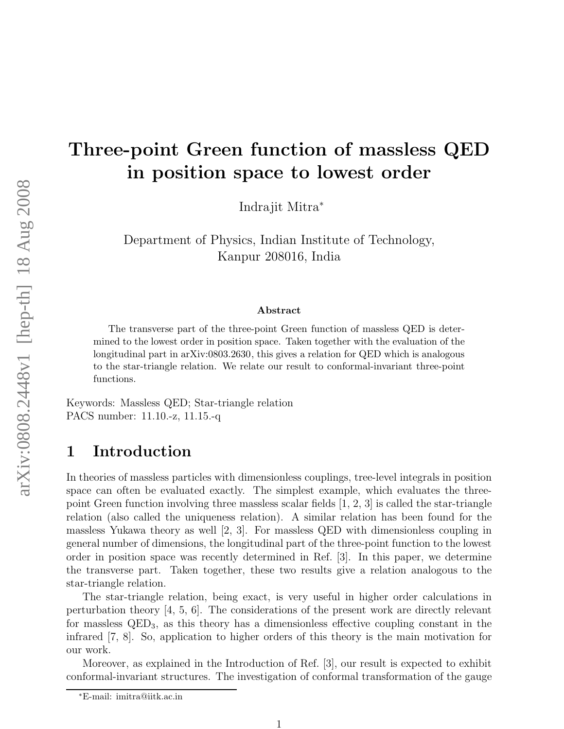# Three-point Green function of massless QED in position space to lowest order

Indrajit Mitra<sup>∗</sup>

Department of Physics, Indian Institute of Technology, Kanpur 208016, India

#### Abstract

The transverse part of the three-point Green function of massless QED is determined to the lowest order in position space. Taken together with the evaluation of the longitudinal part in arXiv:0803.2630, this gives a relation for QED which is analogous to the star-triangle relation. We relate our result to conformal-invariant three-point functions.

Keywords: Massless QED; Star-triangle relation PACS number: 11.10.-z, 11.15.-q

# 1 Introduction

In theories of massless particles with dimensionless couplings, tree-level integrals in position space can often be evaluated exactly. The simplest example, which evaluates the threepoint Green function involving three massless scalar fields  $[1, 2, 3]$  is called the star-triangle relation (also called the uniqueness relation). A similar relation has been found for the massless Yukawa theory as well [2, 3]. For massless QED with dimensionless coupling in general number of dimensions, the longitudinal part of the three-point function to the lowest order in position space was recently determined in Ref. [3]. In this paper, we determine the transverse part. Taken together, these two results give a relation analogous to the star-triangle relation.

The star-triangle relation, being exact, is very useful in higher order calculations in perturbation theory  $\vert 4, 5, 6 \vert$ . The considerations of the present work are directly relevant for massless  $QED_3$ , as this theory has a dimensionless effective coupling constant in the infrared [7, 8]. So, application to higher orders of this theory is the main motivation for our work.

Moreover, as explained in the Introduction of Ref. [3], our result is expected to exhibit conformal-invariant structures. The investigation of conformal transformation of the gauge

<sup>∗</sup>E-mail: imitra@iitk.ac.in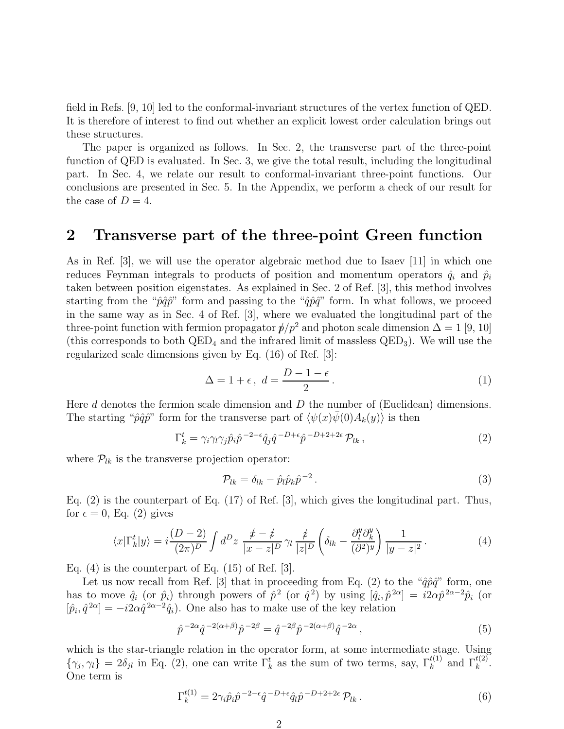field in Refs. [9, 10] led to the conformal-invariant structures of the vertex function of QED. It is therefore of interest to find out whether an explicit lowest order calculation brings out these structures.

The paper is organized as follows. In Sec. 2, the transverse part of the three-point function of QED is evaluated. In Sec. 3, we give the total result, including the longitudinal part. In Sec. 4, we relate our result to conformal-invariant three-point functions. Our conclusions are presented in Sec. 5. In the Appendix, we perform a check of our result for the case of  $D = 4$ .

#### 2 Transverse part of the three-point Green function

As in Ref. [3], we will use the operator algebraic method due to Isaev [11] in which one reduces Feynman integrals to products of position and momentum operators  $\hat{q}_i$  and  $\hat{p}_i$ taken between position eigenstates. As explained in Sec. 2 of Ref. [3], this method involves starting from the " $\hat{p}\hat{q}\hat{p}$ " form and passing to the " $\hat{q}\hat{p}\hat{q}$ " form. In what follows, we proceed in the same way as in Sec. 4 of Ref. [3], where we evaluated the longitudinal part of the three-point function with fermion propagator  $p/p^2$  and photon scale dimension  $\Delta = 1$  [9, 10] (this corresponds to both  $QED_4$  and the infrared limit of massless  $QED_3$ ). We will use the regularized scale dimensions given by Eq. (16) of Ref. [3]:

$$
\Delta = 1 + \epsilon, \ d = \frac{D - 1 - \epsilon}{2}.
$$
 (1)

Here  $d$  denotes the fermion scale dimension and  $D$  the number of (Euclidean) dimensions. The starting " $\hat{p}\hat{q}\hat{p}$ " form for the transverse part of  $\langle \psi(x)\overline{\psi}(0)A_k(y)\rangle$  is then

$$
\Gamma_k^t = \gamma_i \gamma_l \gamma_j \hat{p}_i \hat{p}^{-2-\epsilon} \hat{q}_j \hat{q}^{-D+\epsilon} \hat{p}^{-D+2+2\epsilon} \mathcal{P}_{lk} , \qquad (2)
$$

where  $\mathcal{P}_{lk}$  is the transverse projection operator:

$$
\mathcal{P}_{lk} = \delta_{lk} - \hat{p}_l \hat{p}_k \hat{p}^{-2} \,. \tag{3}
$$

Eq. (2) is the counterpart of Eq. (17) of Ref. [3], which gives the longitudinal part. Thus, for  $\epsilon = 0$ , Eq. (2) gives

$$
\langle x|\Gamma_k^t|y\rangle = i\frac{(D-2)}{(2\pi)^D} \int d^D z \; \frac{\not x - \not z}{|x-z|^D} \gamma_l \frac{\not z}{|z|^D} \left(\delta_{lk} - \frac{\partial_l^y \partial_k^y}{(\partial^2)^y}\right) \frac{1}{|y-z|^2} \,. \tag{4}
$$

Eq.  $(4)$  is the counterpart of Eq.  $(15)$  of Ref. [3].

Let us now recall from Ref. [3] that in proceeding from Eq. (2) to the " $\hat{q}\hat{p}\hat{q}$ " form, one has to move  $\hat{q}_i$  (or  $\hat{p}_i$ ) through powers of  $\hat{p}^2$  (or  $\hat{q}^2$ ) by using  $[\hat{q}_i, \hat{p}^{2\alpha}] = i2\alpha\hat{p}^{2\alpha-2}\hat{p}_i$  (or  $[\hat{p}_i, \hat{q}^{2\alpha}] = -i2\alpha \hat{q}^{2\alpha-2}\hat{q}_i$ . One also has to make use of the key relation

$$
\hat{p}^{-2\alpha}\hat{q}^{-2(\alpha+\beta)}\hat{p}^{-2\beta} = \hat{q}^{-2\beta}\hat{p}^{-2(\alpha+\beta)}\hat{q}^{-2\alpha},\tag{5}
$$

which is the star-triangle relation in the operator form, at some intermediate stage. Using  $\{\gamma_j, \gamma_l\} = 2\delta_{jl}$  in Eq. (2), one can write  $\Gamma_k^t$  as the sum of two terms, say,  $\Gamma_k^{t(1)}$  and  $\Gamma_k^{t(2)}$ . One term is

$$
\Gamma_k^{t(1)} = 2\gamma_i \hat{p}_i \hat{p}^{-2-\epsilon} \hat{q}^{-D+\epsilon} \hat{q}_l \hat{p}^{-D+2+2\epsilon} \mathcal{P}_{lk} \,. \tag{6}
$$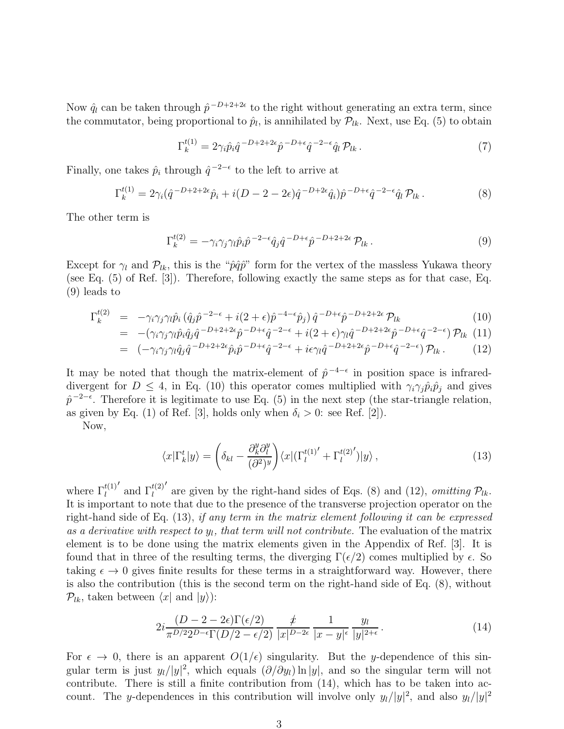Now  $\hat{q}_l$  can be taken through  $\hat{p}^{-D+2+2\epsilon}$  to the right without generating an extra term, since the commutator, being proportional to  $\hat{p}_l$ , is annihilated by  $\mathcal{P}_{lk}$ . Next, use Eq. (5) to obtain

$$
\Gamma_k^{t(1)} = 2\gamma_i \hat{p}_i \hat{q}^{-D+2+2\epsilon} \hat{p}^{-D+\epsilon} \hat{q}^{-2-\epsilon} \hat{q}_l \mathcal{P}_{lk} \,. \tag{7}
$$

Finally, one takes  $\hat{p}_i$  through  $\hat{q}^{-2-\epsilon}$  to the left to arrive at

$$
\Gamma_k^{t(1)} = 2\gamma_i(\hat{q}^{-D+2+2\epsilon}\hat{p}_i + i(D-2-2\epsilon)\hat{q}^{-D+2\epsilon}\hat{q}_i)\hat{p}^{-D+\epsilon}\hat{q}^{-2-\epsilon}\hat{q}_l \mathcal{P}_{lk} \,. \tag{8}
$$

The other term is

$$
\Gamma_k^{t(2)} = -\gamma_i \gamma_j \gamma_l \hat{p}_i \hat{p}^{-2-\epsilon} \hat{q}_j \hat{q}^{-D+\epsilon} \hat{p}^{-D+2+2\epsilon} \mathcal{P}_{lk} \,. \tag{9}
$$

Except for  $\gamma_l$  and  $\mathcal{P}_{lk}$ , this is the " $\hat{p}\hat{q}\hat{p}$ " form for the vertex of the massless Yukawa theory (see Eq. (5) of Ref. [3]). Therefore, following exactly the same steps as for that case, Eq. (9) leads to

$$
\Gamma_k^{t(2)} = -\gamma_i \gamma_j \gamma_l \hat{p}_i \left( \hat{q}_j \hat{p}^{-2-\epsilon} + i(2+\epsilon)\hat{p}^{-4-\epsilon} \hat{p}_j \right) \hat{q}^{-D+\epsilon} \hat{p}^{-D+2+2\epsilon} \mathcal{P}_{lk} \tag{10}
$$

$$
= -(\gamma_i \gamma_j \gamma_l \hat{p}_i \hat{q}_j \hat{q}^{-D+2+2\epsilon} \hat{p}^{-D+\epsilon} \hat{q}^{-2-\epsilon} + i(2+\epsilon) \gamma_l \hat{q}^{-D+2+2\epsilon} \hat{p}^{-D+\epsilon} \hat{q}^{-2-\epsilon}) \mathcal{P}_{lk} (11)
$$

$$
= (-\gamma_i \gamma_j \gamma_l \hat{q}_j \hat{q}^{-D+2+2\epsilon} \hat{p}_i \hat{p}^{-D+\epsilon} \hat{q}^{-2-\epsilon} + i\epsilon \gamma_l \hat{q}^{-D+2+2\epsilon} \hat{p}^{-D+\epsilon} \hat{q}^{-2-\epsilon}) \mathcal{P}_{lk}.
$$
 (12)

It may be noted that though the matrix-element of  $\hat{p}^{-4-\epsilon}$  in position space is infrareddivergent for  $D \leq 4$ , in Eq. (10) this operator comes multiplied with  $\gamma_i \gamma_j \hat{p}_i \hat{p}_j$  and gives  $\hat{p}^{-2-\epsilon}$ . Therefore it is legitimate to use Eq. (5) in the next step (the star-triangle relation, as given by Eq. (1) of Ref. [3], holds only when  $\delta_i > 0$ : see Ref. [2]).

Now,

$$
\langle x|\Gamma_k^t|y\rangle = \left(\delta_{kl} - \frac{\partial_k^y \partial_l^y}{(\partial^2)^y}\right) \langle x|(\Gamma_l^{t(1)'} + \Gamma_l^{t(2)'})|y\rangle ,\qquad (13)
$$

where  $\Gamma_l^{t(1)}$  $^\prime$  and  $\Gamma_l^{t(2)}$ ′ are given by the right-hand sides of Eqs. (8) and (12), *omitting*  $\mathcal{P}_{lk}$ . It is important to note that due to the presence of the transverse projection operator on the right-hand side of Eq. (13), if any term in the matrix element following it can be expressed as a derivative with respect to  $y_l$ , that term will not contribute. The evaluation of the matrix element is to be done using the matrix elements given in the Appendix of Ref. [3]. It is found that in three of the resulting terms, the diverging  $\Gamma(\epsilon/2)$  comes multiplied by  $\epsilon$ . So taking  $\epsilon \to 0$  gives finite results for these terms in a straightforward way. However, there is also the contribution (this is the second term on the right-hand side of Eq. (8), without  $\mathcal{P}_{lk}$ , taken between  $\langle x|$  and  $|y\rangle$ :

$$
2i\frac{(D-2-2\epsilon)\Gamma(\epsilon/2)}{\pi^{D/2}2^{D-\epsilon}\Gamma(D/2-\epsilon/2)}\frac{\acute{x}}{|x|^{D-2\epsilon}}\frac{1}{|x-y|^{\epsilon}}\frac{y_l}{|y|^{2+\epsilon}}.
$$
\n(14)

For  $\epsilon \to 0$ , there is an apparent  $O(1/\epsilon)$  singularity. But the y-dependence of this singular term is just  $y_l/|y|^2$ , which equals  $(\partial/\partial y_l) \ln |y|$ , and so the singular term will not contribute. There is still a finite contribution from (14), which has to be taken into account. The y-dependences in this contribution will involve only  $y_l/|y|^2$ , and also  $y_l/|y|^2$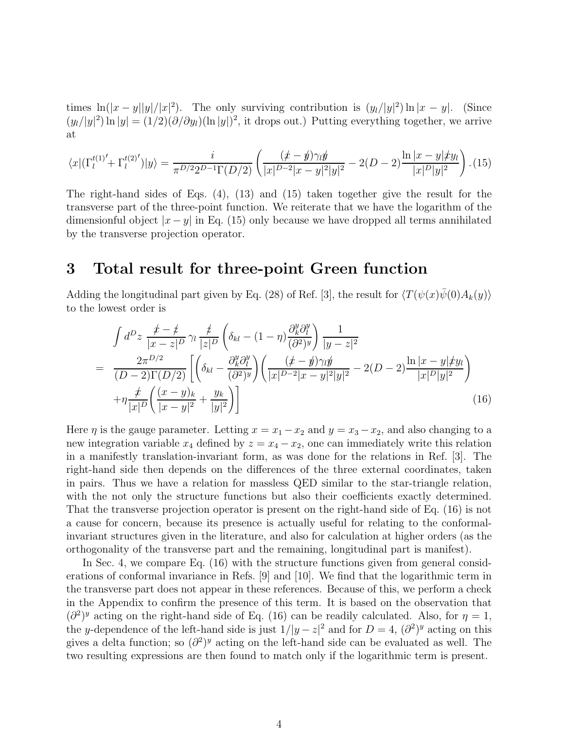times  $\ln(|x-y||y|/|x|^2)$ . The only surviving contribution is  $(y_l/|y|^2) \ln |x-y|$ . (Since  $(y_l/|y|^2) \ln |y| = (1/2)(\partial/\partial y_l)(\ln |y|)^2$ , it drops out.) Putting everything together, we arrive at

$$
\langle x | (\Gamma_l^{t(1)'} + \Gamma_l^{t(2)'} ) | y \rangle = \frac{i}{\pi^{D/2} 2^{D-1} \Gamma(D/2)} \left( \frac{(x-y)\gamma_l y}{|x|^{D-2} |x-y|^2 |y|^2} - 2(D-2) \frac{\ln|x-y| \n}{|x|^D |y|^2} \right). (15)
$$

The right-hand sides of Eqs. (4), (13) and (15) taken together give the result for the transverse part of the three-point function. We reiterate that we have the logarithm of the dimensionful object  $|x-y|$  in Eq. (15) only because we have dropped all terms annihilated by the transverse projection operator.

### 3 Total result for three-point Green function

Adding the longitudinal part given by Eq. (28) of Ref. [3], the result for  $\langle T(\psi(x)\overline{\psi}(0)A_k(y)\rangle$ to the lowest order is

$$
\int d^{D}z \frac{\cancel{t} - \cancel{t}}{|x - z|^{D}} \gamma_{l} \frac{\cancel{t}}{|z|^{D}} \left( \delta_{kl} - (1 - \eta) \frac{\partial_{k}^{y} \partial_{l}^{y}}{(\partial^{2})^{y}} \right) \frac{1}{|y - z|^{2}} \n= \frac{2\pi^{D/2}}{(D - 2)\Gamma(D/2)} \left[ \left( \delta_{kl} - \frac{\partial_{k}^{y} \partial_{l}^{y}}{(\partial^{2})^{y}} \right) \left( \frac{(\cancel{t} - \cancel{y})\gamma_{l}\cancel{y}}{|x|^{D - 2}|x - y|^{2}|y|^{2}} - 2(D - 2) \frac{\ln|x - y|\cancel{xy}_{l}|}{|x|^{D}|y|^{2}} \right) \n+ \eta \frac{\cancel{t}}{|x|^{D}} \left( \frac{(x - y)_{k}}{|x - y|^{2}} + \frac{y_{k}}{|y|^{2}} \right) \right]
$$
\n(16)

Here  $\eta$  is the gauge parameter. Letting  $x = x_1 - x_2$  and  $y = x_3 - x_2$ , and also changing to a new integration variable  $x_4$  defined by  $z = x_4 - x_2$ , one can immediately write this relation in a manifestly translation-invariant form, as was done for the relations in Ref. [3]. The right-hand side then depends on the differences of the three external coordinates, taken in pairs. Thus we have a relation for massless QED similar to the star-triangle relation, with the not only the structure functions but also their coefficients exactly determined. That the transverse projection operator is present on the right-hand side of Eq. (16) is not a cause for concern, because its presence is actually useful for relating to the conformalinvariant structures given in the literature, and also for calculation at higher orders (as the orthogonality of the transverse part and the remaining, longitudinal part is manifest).

In Sec. 4, we compare Eq. (16) with the structure functions given from general considerations of conformal invariance in Refs. [9] and [10]. We find that the logarithmic term in the transverse part does not appear in these references. Because of this, we perform a check in the Appendix to confirm the presence of this term. It is based on the observation that  $(\partial^2)^y$  acting on the right-hand side of Eq. (16) can be readily calculated. Also, for  $\eta = 1$ , the y-dependence of the left-hand side is just  $1/|y-z|^2$  and for  $D=4$ ,  $(\partial^2)^y$  acting on this gives a delta function; so  $(\partial^2)^y$  acting on the left-hand side can be evaluated as well. The two resulting expressions are then found to match only if the logarithmic term is present.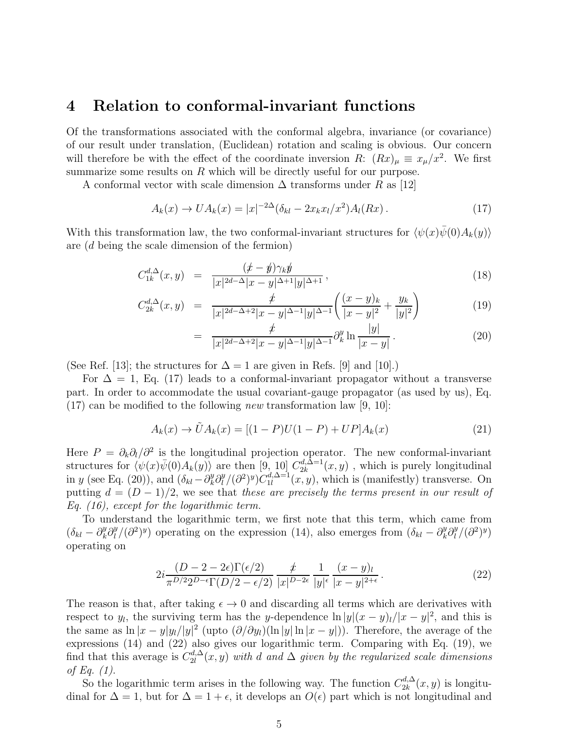#### 4 Relation to conformal-invariant functions

Of the transformations associated with the conformal algebra, invariance (or covariance) of our result under translation, (Euclidean) rotation and scaling is obvious. Our concern will therefore be with the effect of the coordinate inversion R:  $(Rx)_{\mu} \equiv x_{\mu}/x^2$ . We first summarize some results on  $R$  which will be directly useful for our purpose.

A conformal vector with scale dimension  $\Delta$  transforms under R as [12]

$$
A_k(x) \to UA_k(x) = |x|^{-2\Delta} (\delta_{kl} - 2x_k x_l/x^2) A_l(Rx).
$$
 (17)

With this transformation law, the two conformal-invariant structures for  $\langle \psi(x)\bar{\psi}(0)A_k(y)\rangle$ are (d being the scale dimension of the fermion)

$$
C_{1k}^{d,\Delta}(x,y) = \frac{(x-y)\gamma_k y}{|x|^{2d-\Delta}|x-y|^{\Delta+1}|y|^{\Delta+1}},
$$
\n(18)

$$
C_{2k}^{d,\Delta}(x,y) = \frac{\not{x}}{|x|^{2d-\Delta+2}|x-y|^{\Delta-1}|y|^{\Delta-1}} \left( \frac{(x-y)_k}{|x-y|^2} + \frac{y_k}{|y|^2} \right) \tag{19}
$$

$$
= \frac{\dot{x}}{|x|^{2d-\Delta+2}|x-y|^{\Delta-1}|y|^{\Delta-1}} \partial_x^y \ln \frac{|y|}{|x-y|}.
$$
 (20)

(See Ref. [13]; the structures for  $\Delta = 1$  are given in Refs. [9] and [10].)

For  $\Delta = 1$ , Eq. (17) leads to a conformal-invariant propagator without a transverse part. In order to accommodate the usual covariant-gauge propagator (as used by us), Eq.  $(17)$  can be modified to the following *new* transformation law [9, 10]:

$$
A_k(x) \to \tilde{U}A_k(x) = [(1 - P)U(1 - P) + UP]A_k(x)
$$
\n(21)

Here  $P = \partial_k \partial_l / \partial^2$  is the longitudinal projection operator. The new conformal-invariant structures for  $\langle \psi(x)\bar{\psi}(0)A_k(y)\rangle$  are then [9, 10]  $C_{2k}^{d,\Delta=1}$  $a_{2k}^{a,\Delta=1}(x,y)$ , which is purely longitudinal in y (see Eq. (20)), and  $(\delta_{kl} - \partial_k^y \partial_l^y)$  $\int_l^y/(\partial^2)^y)C_{1l}^{d,\Delta=1}$  $u_1^{a,\Delta=1}(x,y)$ , which is (manifestly) transverse. On putting  $d = (D-1)/2$ , we see that these are precisely the terms present in our result of Eq. (16), except for the logarithmic term.

To understand the logarithmic term, we first note that this term, which came from  $(\delta_{kl} - \partial_k^y \partial_l^y)$  $\int_l^y$ /( $\partial^2$ )<sup>y</sup>) operating on the expression (14), also emerges from  $(\delta_{kl} - \partial_k^y \partial_l^y)$  $\binom{y}{l}(\partial^2)^y$ operating on

$$
2i \frac{(D-2-2\epsilon)\Gamma(\epsilon/2)}{\pi^{D/2} 2^{D-\epsilon} \Gamma(D/2-\epsilon/2)} \frac{\dot{x}}{|x|^{D-2\epsilon}} \frac{1}{|y|^{\epsilon}} \frac{(x-y)_l}{|x-y|^{2+\epsilon}}.
$$
 (22)

The reason is that, after taking  $\epsilon \to 0$  and discarding all terms which are derivatives with respect to  $y_l$ , the surviving term has the y-dependence  $\ln |y| (x - y)_{l}/|x - y|^2$ , and this is the same as  $\ln |x-y|y_l/|y|^2$  (upto  $(\partial/\partial y_l)(\ln |y| \ln |x-y|)$ ). Therefore, the average of the expressions (14) and (22) also gives our logarithmic term. Comparing with Eq. (19), we find that this average is  $C_{2l}^{d,\Delta}$  $\mathcal{L}_{2l}^{a,\Delta}(x,y)$  with d and  $\Delta$  given by the regularized scale dimensions of Eq.  $(1)$ .

So the logarithmic term arises in the following way. The function  $C_{2k}^{d,\Delta}$  $a_{2k}^{a,\Delta}(x,y)$  is longitudinal for  $\Delta = 1$ , but for  $\Delta = 1 + \epsilon$ , it develops an  $O(\epsilon)$  part which is not longitudinal and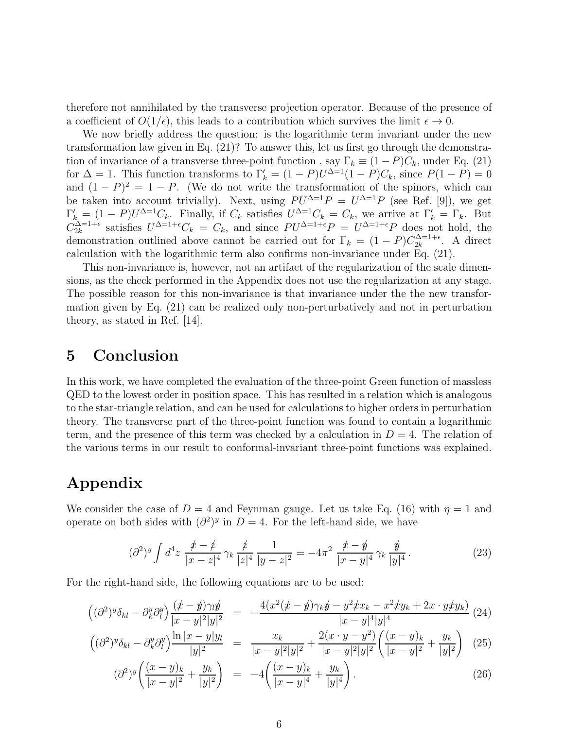therefore not annihilated by the transverse projection operator. Because of the presence of a coefficient of  $O(1/\epsilon)$ , this leads to a contribution which survives the limit  $\epsilon \to 0$ .

We now briefly address the question: is the logarithmic term invariant under the new transformation law given in Eq. (21)? To answer this, let us first go through the demonstration of invariance of a transverse three-point function, say  $\Gamma_k \equiv (1 - P)C_k$ , under Eq. (21) for  $\Delta = 1$ . This function transforms to  $\Gamma'_k = (1 - P)U^{\Delta=1}(1 - P)C_k$ , since  $P(1 - P) = 0$ and  $(1 - P)^2 = 1 - P$ . (We do not write the transformation of the spinors, which can be taken into account trivially). Next, using  $PU^{\Delta=1}P = U^{\Delta=1}P$  (see Ref. [9]), we get  $\Gamma'_k = (1 - P)U^{\Delta=1}C_k$ . Finally, if  $C_k$  satisfies  $U^{\Delta=1}C_k = C_k$ , we arrive at  $\Gamma'_k = \Gamma_k$ . But  $C_{2k}^{\Delta=1+\epsilon}$  satisfies  $U^{\Delta=1+\epsilon}C_k = C_k$ , and since  $PU^{\Delta=1+\epsilon}P = U^{\Delta=1+\epsilon}P$  does not hold, the demonstration outlined above cannot be carried out for  $\Gamma_k = (1 - P)C_{2k}^{\Delta = 1 + \epsilon}$  $\frac{d\Delta=1+\epsilon}{2k}$ . A direct calculation with the logarithmic term also confirms non-invariance under Eq. (21).

This non-invariance is, however, not an artifact of the regularization of the scale dimensions, as the check performed in the Appendix does not use the regularization at any stage. The possible reason for this non-invariance is that invariance under the the new transformation given by Eq. (21) can be realized only non-perturbatively and not in perturbation theory, as stated in Ref. [14].

### 5 Conclusion

In this work, we have completed the evaluation of the three-point Green function of massless QED to the lowest order in position space. This has resulted in a relation which is analogous to the star-triangle relation, and can be used for calculations to higher orders in perturbation theory. The transverse part of the three-point function was found to contain a logarithmic term, and the presence of this term was checked by a calculation in  $D = 4$ . The relation of the various terms in our result to conformal-invariant three-point functions was explained.

# Appendix

We consider the case of  $D = 4$  and Feynman gauge. Let us take Eq. (16) with  $\eta = 1$  and operate on both sides with  $\left(\partial^2\right)^y$  in  $D=4$ . For the left-hand side, we have

$$
(\partial^2)^y \int d^4 z \, \frac{\not x - \not z}{|x - z|^4} \, \gamma_k \, \frac{\not z}{|z|^4} \, \frac{1}{|y - z|^2} = -4\pi^2 \, \frac{\not x - \not y}{|x - y|^4} \, \gamma_k \, \frac{\not y}{|y|^4} \, . \tag{23}
$$

For the right-hand side, the following equations are to be used:

$$
\begin{aligned}\n\left( (\partial^2)^y \delta_{kl} - \partial^y_k \partial^y_l \right) \frac{(x - y)\gamma_l y}{|x - y|^2 |y|^2} &= -\frac{4(x^2(x - y)\gamma_k y - y^2 \gamma_k x - x^2 \gamma_k y + 2x \cdot y \gamma_k y)}{|x - y|^4 |y|^4} \\
\left( (\partial^2)^y \delta_{kl} - \partial^y_l \partial^y_l \right) \frac{\ln|x - y| y_l}{|x - y| y_l} &= -\frac{x_k}{|x - y|} + \frac{2(x \cdot y - y^2)}{|x - y|^2} \left( \frac{(x - y)_k}{|x - y|} + \frac{y_k}{|x - y|} \right) \n\end{aligned} \tag{25}
$$

$$
\left( (\partial^2)^y \delta_{kl} - \partial^y_k \partial^y_l \right) \frac{\ln |x - y| y_l}{|y|^2} = \frac{x_k}{|x - y|^2 |y|^2} + \frac{2(x \cdot y - y)}{|x - y|^2 |y|^2} \left( \frac{(x - y)_k}{|x - y|^2} + \frac{y_k}{|y|^2} \right) (25)
$$

$$
(\partial^2)^y \left( \frac{(x-y)_k}{|x-y|^2} + \frac{y_k}{|y|^2} \right) = -4 \left( \frac{(x-y)_k}{|x-y|^4} + \frac{y_k}{|y|^4} \right). \tag{26}
$$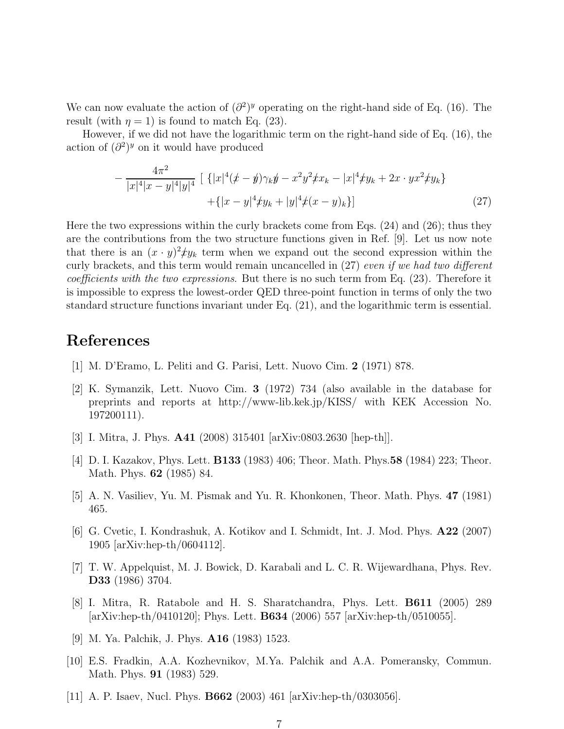We can now evaluate the action of  $\left(\partial^2\right)^y$  operating on the right-hand side of Eq. (16). The result (with  $\eta = 1$ ) is found to match Eq. (23).

However, if we did not have the logarithmic term on the right-hand side of Eq. (16), the action of  $\left(\partial^2\right)^y$  on it would have produced

$$
-\frac{4\pi^2}{|x|^4|x-y|^4|y|^4} \left[ \left\{ |x|^4(\cancel{x}-\cancel{y})\gamma_k\cancel{y}-x^2y^2\cancel{x}x_k-|x|^4\cancel{y}_k+2x\cdot yx^2\cancel{y}_k \right\} + \left\{ |x-y|^4\cancel{y}_k+|y|^4\cancel{x}-y_k \right\} \right] \tag{27}
$$

Here the two expressions within the curly brackets come from Eqs. (24) and (26); thus they are the contributions from the two structure functions given in Ref. [9]. Let us now note that there is an  $(x \cdot y)^2 \mathcal{L}y_k$  term when we expand out the second expression within the curly brackets, and this term would remain uncancelled in (27) even if we had two different coefficients with the two expressions. But there is no such term from Eq. (23). Therefore it is impossible to express the lowest-order QED three-point function in terms of only the two standard structure functions invariant under Eq. (21), and the logarithmic term is essential.

## References

- [1] M. D'Eramo, L. Peliti and G. Parisi, Lett. Nuovo Cim. 2 (1971) 878.
- [2] K. Symanzik, Lett. Nuovo Cim. 3 (1972) 734 (also available in the database for preprints and reports at http://www-lib.kek.jp/KISS/ with KEK Accession No. 197200111).
- [3] I. Mitra, J. Phys. A41 (2008) 315401 [arXiv:0803.2630 [hep-th]].
- [4] D. I. Kazakov, Phys. Lett. B133 (1983) 406; Theor. Math. Phys.58 (1984) 223; Theor. Math. Phys. 62 (1985) 84.
- [5] A. N. Vasiliev, Yu. M. Pismak and Yu. R. Khonkonen, Theor. Math. Phys. 47 (1981) 465.
- [6] G. Cvetic, I. Kondrashuk, A. Kotikov and I. Schmidt, Int. J. Mod. Phys. A22 (2007) 1905 [arXiv:hep-th/0604112].
- [7] T. W. Appelquist, M. J. Bowick, D. Karabali and L. C. R. Wijewardhana, Phys. Rev. D33 (1986) 3704.
- [8] I. Mitra, R. Ratabole and H. S. Sharatchandra, Phys. Lett. B611 (2005) 289 [arXiv:hep-th/0410120]; Phys. Lett. B634 (2006) 557 [arXiv:hep-th/0510055].
- [9] M. Ya. Palchik, J. Phys. A16 (1983) 1523.
- [10] E.S. Fradkin, A.A. Kozhevnikov, M.Ya. Palchik and A.A. Pomeransky, Commun. Math. Phys. 91 (1983) 529.
- [11] A. P. Isaev, Nucl. Phys. B662 (2003) 461 [arXiv:hep-th/0303056].